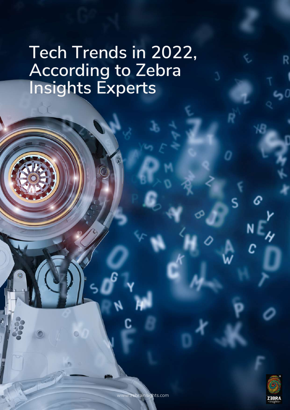# **Tech Trends in 2022, According to Zebra Insights Experts**

 $\odot$ 

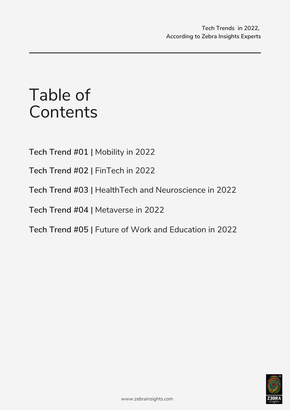## Table of **Contents**

**Tech Trend #01 |** Mobility in 2022

**Tech Trend #02 |** FinTech in 2022

**Tech Trend #03 |** HealthTech and Neuroscience in 2022

**Tech Trend #04 |** Metaverse in 2022

**Tech Trend #05 |** Future of Work and Education in 2022

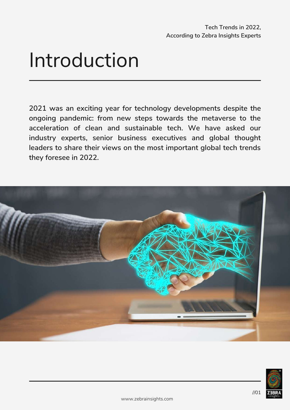# Introduction

**2021 was an exciting year for technology developments despite the ongoing pandemic: from new steps towards the metaverse to the acceleration of clean and sustainable tech. We have asked our industry experts, senior business executives and global thought leaders to share their views on the most important global tech trends they foresee in 2022.**



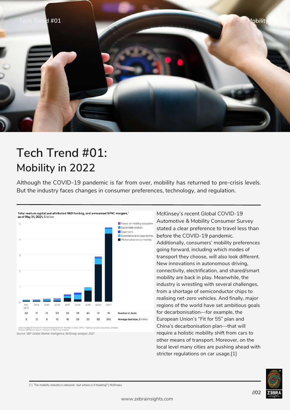

### **Tech Trend #01: Mobility in 2022**

Although the COVID-19 pandemic is far from over, mobility has returned to pre-crisis levels. But the industry faces changes in consumer preferences, technology, and regulation.



*Source: S&P Global Market Intelligence; McKinsey analysis 2021* dai in 2020. SPAC = s

McKinsey's recent Global COVID-19 Automotive & Mobility Consumer Survey stated a clear preference to travel less than before the COVID-19 pandemic. Additionally, consumers' mobility preferences going forward, including which modes of transport they choose, will also look different. New innovations in autonomous driving, connectivity, electrification, and shared/smart mobility are back in play. Meanwhile, the industry is wrestling with several challenges, from a shortage of semiconductor chips to realising net-zero vehicles. And finally, major regions of the world have set ambitious goals for decarbonisation—for example, the European Union's "Fit for 55" plan and China's decarbonisation plan—that will require a holistic mobility shift from cars to other means of transport. Moreover, on the local level many cities are pushing ahead with stricter regulations on car usage.[1]



[1] The mobility industry's [rebound--but](https://www.mckinsey.com/industries/automotive-and-assembly/our-insights/mobilitys-rebound-an-industry-recovers-but-where-is-it-heading) where is it heading? | McKinsey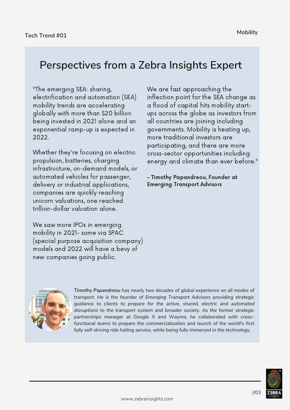#### **Perspectives from a Zebra Insights Expert**

"The emerging SEA: sharing, electrification and automation (SEA) mobility trends are accelerating globally with more than \$20 billion being invested in 2021 alone and an exponential ramp-up is expected in 2022.

Whether they're focusing on electric propulsion, batteries, charging infrastructure, on-demand models, or automated vehicles for passenger, delivery or industrial applications, companies are quickly reaching unicorn valuations, one reached trillion-dollar valuation alone.

We saw more IPOs in emerging mobility in 2021- some via SPAC (special purpose acquisition company) models and 2022 will have a bevy of new companies going public.

We are fast approaching the inflection point for the SEA change as a flood of capital hits mobility startups across the globe as investors from all countries are joining including governments. Mobility is heating up, more traditional investors are participating, and there are more cross-sector opportunities including energy and climate than ever before."

- Timothy Papandreou, Founder at Emerging Transport Advisors



*Timothy Papandreou has nearly two decades of global experience on all modes of transport. He is the founder of Emerging Transport Advisors providing strategic guidance to clients to prepare for the active, shared, electric and automated disruptions to the transport system and broader society. As the former strategic partnerships manager at Google X and Waymo, he collaborated with crossfunctional teams to prepare the commercialization and launch of the world's first fully self-driving ride hailing service, while being fully immersed in the technology.*

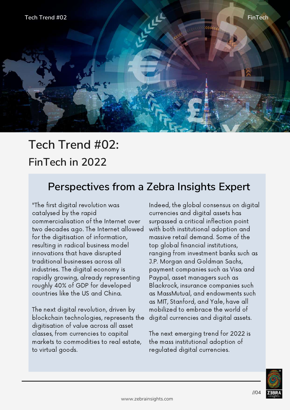

### **Tech Trend #02: FinTech in 2022**

#### **Perspectives from a Zebra Insights Expert**

"The first digital revolution was catalysed by the rapid commercialisation of the Internet over two decades ago. The Internet allowed for the digitisation of information, resulting in radical business model innovations that have disrupted traditional businesses across all industries. The digital economy is rapidly growing, already representing roughly 40% of GDP for developed countries like the US and China.

The next digital revolution, driven by blockchain technologies, represents the digitisation of value across all asset classes, from currencies to capital markets to commodities to real estate, to virtual goods.

Indeed, the global consensus on digital currencies and digital assets has surpassed a critical inflection point with both institutional adoption and massive retail demand. Some of the top global financial institutions, ranging from investment banks such as J.P. Morgan and Goldman Sachs, payment companies such as Visa and Paypal, asset managers such as Blackrock, insurance companies such as MassMutual, and endowments such as MIT, Stanford, and Yale, have all mobilized to embrace the world of digital currencies and digital assets.

The next emerging trend for 2022 is the mass institutional adoption of regulated digital currencies.

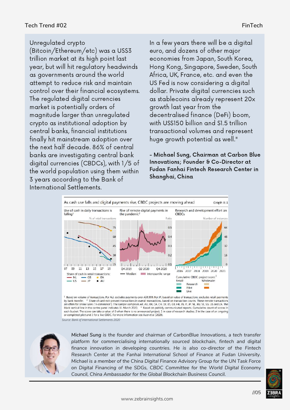#### Unregulated crypto

(Bitcoin/Ethereum/etc) was a US\$3 trillion market at its high point last year, but will hit regulatory headwinds as governments around the world attempt to reduce risk and maintain control over their financial ecosystems. The regulated digital currencies market is potentially orders of magnitude larger than unregulated crypto as institutional adoption by central banks, financial institutions finally hit mainstream adoption over the next half decade. 86% of central banks are investigating central bank digital currencies (CBDCs), with 1/5 of the world population using them within 3 years according to the Bank of International Settlements.

In a few years there will be a digital euro, and dozens of other major economies from Japan, South Korea, Hong Kong, Singapore, Sweden, South Africa, UK, France, etc. and even the US Fed is now considering a digital dollar. Private digital currencies such as stablecoins already represent 20x growth last year from the decentralised finance (DeFi) boom, with US\$150 billion and \$1.5 trillion transactional volumes and represent huge growth potential as well."

- Michael Sung, Chairman at Carbon Blue Innovations; Founder & Co-Director at Fudan Fanhai Fintech Research Center in Shanghai, China



by bank transfer. <sup>2</sup> Share of card-not-present transactions in overall transactions, based on transaction counts. These remote transactions are often for online sales ("e-commerce"). The sample comprises AR, AU, BR, CA, CH, DE, ES, GB, HK, IN, IT, JP, NL, RU, SE, SG, US and ZA. The black vertical line in the centre panel indicates 11 March 2020. <sup>3</sup> Based on p each bucket. The score can take a value of 0 when there is no announced project, 1 in case of research studies, 2 in the case of an ongoing or completed pilot and 3 for a live CBDC. For more information see Auer et al (2020).

*Source: Bank of International Settlements 2020*



*Michael Sung is the founder and chairman of CarbonBlue Innovations, a tech transfer platform for commercialising internationally sourced blockchain, fintech and digital finance innovation in developing countries. He is also co-director of the Fintech Research Center at the Fanhai International School of Finance at Fudan University. Michael is a member of the China Digital Finance Advisory Group for the UN Task Force on Digital Financing of the SDGs, CBDC Committee for the World Digital Economy Council, China Ambassador for the Global Blockchain Business Council.*

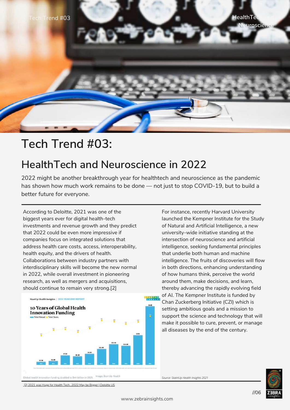

#### **Tech Trend #03:**

#### **HealthTech and Neuroscience in 2022**

2022 might be another breakthrough year for healthtech and neuroscience as the pandemic has shown how much work remains to be done — not just to stop COVID-19, but to build a better future for everyone.

According to Deloitte, 2021 was one of the biggest years ever for digital health-tech investments and revenue growth and they predict that 2022 could be even more impressive if companies focus on integrated solutions that address health care costs, access, interoperability, health equity, and the drivers of health. Collaborations between industry partners with interdisciplinary skills will become the new normal in 2022, while overall investment in pioneering research, as well as mergers and acquisitions, should continue to remain very strong.[2]



For instance, recently Harvard University launched the Kempner Institute for the Study of Natural and Artificial Intelligence, a new university-wide initiative standing at the intersection of neuroscience and artificial intelligence, seeking fundamental principles that underlie both human and machine intelligence. The fruits of discoveries will flow in both directions, enhancing understanding of how humans think, perceive the world around them, make decisions, and learn, thereby advancing the rapidly evolving field of AI. The Kempner Institute is funded by Chan Zuckerberg Initiative (CZI) which is setting ambitious goals and a mission to

support the science and technology that will make it possible to cure, prevent, or manage all diseases by the end of the century.

*Source: StatrtUp Health Insights 2021*



[2] 2021 was Huge for Health [Tech…2022](https://www2.deloitte.com/us/en/blog/health-care-blog/2021/2021-was-huge-for-health-tech-2022-may-be-bigger.html) May be Bigger | Deloitte US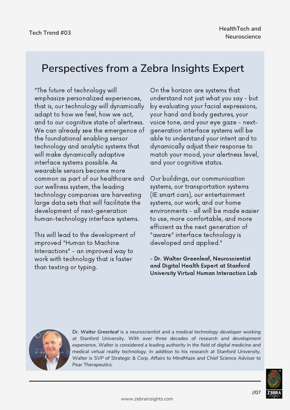#### **Perspectives from a Zebra Insights Expert**

"The future of technology will emphasize personalized experiences, that is, our technology will dynamically adapt to how we feel, how we act, and to our cognitive state of alertness. We can already see the emergence of the foundational enabling sensor technology and analytic systems that will make dynamically adaptive interface systems possible. As wearable sensors become more common as part of our healthcare and our wellness system, the leading technology companies are harvesting large data sets that will facilitate the development of next-generation human-technology interface systems.

This will lead to the development of improved "Human to Machine Interactions" - an improved way to work with technology that is faster than texting or typing.

On the horizon are systems that understand not just what you say - but by evaluating your facial expressions, your hand and body gestures, your voice tone, and your eye gaze - nextgeneration interface systems will be able to understand your intent and to dynamically adjust their response to match your mood, your alertness level, and your cognitive status.

Our buildings, our communication systems, our transportation systems (IE:smart cars), our entertainment systems, our work, and our home environments - all will be made easier to use, more comfortable, and more efficient as the next generation of "aware" interface technology is developed and applied."

- Dr. Walter Greenleaf, Neuroscientist and Digital Health Expert at Stanford University Virtual Human Interaction Lab



*Dr. Walter Greenleaf is a neuroscientist and a medical technology developer working at Stanford University. With over three decades of research and development experience, Walter is considered a leading authority in the field of digital medicine and medical virtual reality technology. In addition to his research at Stanford University, Walter is SVP of Strategic & Corp. Affairs to MindMaze and Chief Science Advisor to Pear Therapeutics.*

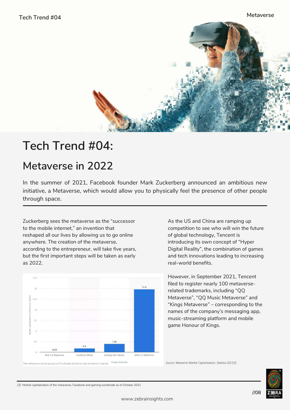

### **Tech Trend #04:**

### **Metaverse in 2022**

In the summer of 2021, Facebook founder Mark Zuckerberg announced an ambitious new initiative, a Metaverse, which would allow you to physically feel the presence of other people through space.

Zuckerberg sees the metaverse as the "successor to the mobile internet," an invention that reshaped all our lives by allowing us to go online anywhere. The creation of the metaverse, according to the entrepreneur, will take five years, but the first important steps will be taken as early as 2022.



As the US and China are ramping up competition to see who will win the future of global technology, Tencent is introducing its own concept of "Hyper Digital Reality", the combination of games and tech innovations leading to increasing real-world benefits.

However, in September 2021, Tencent filed to register nearly 100 metaverserelated trademarks, including "QQ Metaverse", "QQ Music Metaverse" and "Kings Metaverse" – corresponding to the names of the company's messaging app, music-streaming platform and mobile game Honour of Kings.

*Source: Metaverse Market Capitalization, Statista 2021[3]*



[3] Market [capitalization](https://www.statista.com/statistics/1280565/global-market-cap-metaverse-facebook-gaming/) of the metaverse, Facebook and gaming worldwide as of October 2021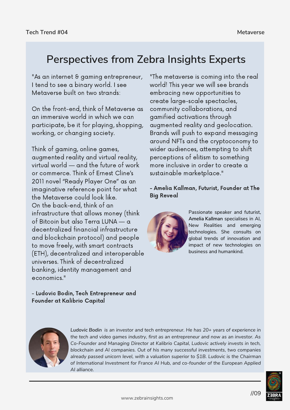#### **Perspectives from Zebra Insights Experts**

"As an internet & gaming entrepreneur, I tend to see a binary world. I see Metaverse built on two strands:

On the front-end, think of Metaverse as an immersive world in which we can participate, be it for playing, shopping, working, or changing society.

Think of gaming, online games, augmented reality and virtual reality, virtual world — and the future of work or commerce. Think of Ernest Cline's 2011 novel "Ready Player One" as an imaginative reference point for what the Metaverse could look like. On the back-end, think of an infrastructure that allows money (think of Bitcoin but also Terra LUNA — a decentralized financial infrastructure and blockchain protocol) and people to move freely, with smart contracts (ETH), decentralized and interoperable universes. Think of decentralized banking, identity management and economics."

- Ludovic Bodin, Tech Entrepreneur and Founder at Kalibrio Capital

"The metaverse is coming into the real world! This year we will see brands embracing new opportunities to create large-scale spectacles, community collaborations, and gamified activations through augmented reality and geolocation. Brands will push to expand messaging around NFTs and the cryptoconomy to wider audiences, attempting to shift perceptions of elitism to something more inclusive in order to create a sustainable marketplace."

#### - Amelia Kallman, Futurist, Founder at The Big Reveal



Passionate speaker and futurist, **Amelia Kallman** specialises in AI, New Realities and emerging technologies. She consults on global trends of innovation and impact of new technologies on business and humankind.



*Ludovic Bodin is an investor and tech entrepreneur. He has 20+ years of experience in the tech and video games industry, first as an entrepreneur and now as an investor. As Co-Founder and Managing Director at Kalibrio Capital, Ludovic actively invests in tech, blockchain and AI companies. Out of his many successful investments, two companies already passed unicorn level, with a valuation superior to \$1B. Ludovic is the Chairman of International Investment for France AI Hub, and co-founder of the European Applied AI alliance.*

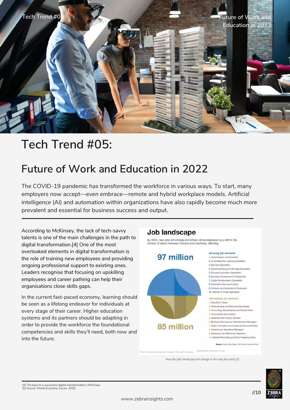

### **Tech Trend #05:**

#### **Future of Work and Education in 2022**

The COVID-19 pandemic has transformed the workforce in various ways. To start, many employers now accept—even embrace—remote and hybrid workplace models. Artificial intelligence (AI) and automation within organizations have also rapidly become much more prevalent and essential for business success and output.

According to McKinsey, the lack of tech-savvy talents is one of the main challenges in the path to digital transformation.[4] One of the most overlooked elements in digital transformation is the role of training new employees and providing ongoing professional support to existing ones. Leaders recognise that focusing on upskilling employees and career pathing can help their organisations close skills gaps.

In the current fast-paced economy, learning should be seen as a lifelong endeavor for individuals at every stage of their career. Higher education systems and its partners should be adapting in order to provide the workforce the foundational competencies and skills they'll need, both now and into the future.

#### Job landscape

By 2025, new jobs will emerge and others will be displaced by a shift in the division of labour between humans and machines, affecting:



*How the jobs landscape will change in the next five years [5]*

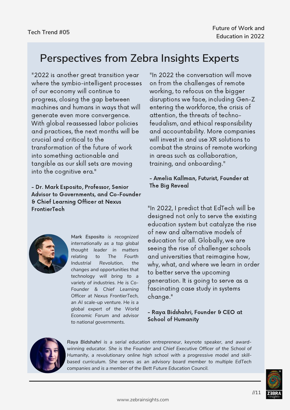#### **Perspectives from Zebra Insights Experts**

"2022 is another great transition year where the symbio-intelligent processes of our economy will continue to progress, closing the gap between machines and humans in ways that will generate even more convergence. With global reassessed labor policies and practices, the next months will be crucial and critical to the transformation of the future of work into something actionable and tangible as our skill sets are moving into the cognitive era."

- Dr. Mark Esposito, Professor, Senior Advisor to Governments, and Co-Founder & Chief Learning Officer at Nexus FrontierTech

> *Mark Esposito is recognized internationally as a top global thought leader in matters relating to The Fourth Industrial Revolution, the changes and opportunities that technology will bring to a variety of industries. He is Co-Founder & Chief Learning Officer at Nexus FrontierTech, an AI scale-up venture. He is a global expert of the World Economic Forum and advisor to national governments.*

"In 2022 the conversation will move on from the challenges of remote working, to refocus on the bigger disruptions we face, including Gen-Z entering the workforce, the crisis of attention, the threats of technofeudalism, and ethical responsibility and accountability. More companies will invest in and use XR solutions to combat the strains of remote working in areas such as collaboration, training, and onboarding."

#### - Amelia Kallman, Futurist, Founder at The Big Reveal

"In 2022, I predict that EdTech will be designed not only to serve the existing education system but catalyze the rise of new and alternative models of education for all. Globally, we are seeing the rise of challenger schools and universities that reimagine how, why, what, and where we learn in order to better serve the upcoming generation. It is going to serve as a fascinating case study in systems change."

#### - Raya Bidshahri, Founder & CEO at School of Humanity



*Raya Bidshahri is a serial education entrepreneur, keynote speaker, and awardwinning educator. She is the Founder and Chief Executive Officer of the School of Humanity, a revolutionary online high school with a progressive model and skillbased curriculum. She serves as an advisory board member to multiple EdTech companies and is a member of the Bett Future Education Council.*